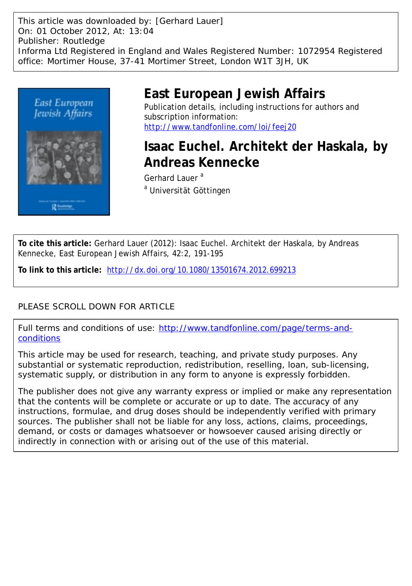This article was downloaded by: [Gerhard Lauer] On: 01 October 2012, At: 13:04 Publisher: Routledge Informa Ltd Registered in England and Wales Registered Number: 1072954 Registered office: Mortimer House, 37-41 Mortimer Street, London W1T 3JH, UK



## **East European Jewish Affairs**

Publication details, including instructions for authors and subscription information: <http://www.tandfonline.com/loi/feej20>

# **Isaac Euchel. Architekt der Haskala, by Andreas Kennecke**

Gerhard Lauer<sup>a</sup> <sup>a</sup> Universität Göttingen

**To cite this article:** Gerhard Lauer (2012): Isaac Euchel. Architekt der Haskala, by Andreas Kennecke, East European Jewish Affairs, 42:2, 191-195

**To link to this article:** <http://dx.doi.org/10.1080/13501674.2012.699213>

## PLEASE SCROLL DOWN FOR ARTICLE

Full terms and conditions of use: [http://www.tandfonline.com/page/terms-and](http://www.tandfonline.com/page/terms-and-conditions)[conditions](http://www.tandfonline.com/page/terms-and-conditions)

This article may be used for research, teaching, and private study purposes. Any substantial or systematic reproduction, redistribution, reselling, loan, sub-licensing, systematic supply, or distribution in any form to anyone is expressly forbidden.

The publisher does not give any warranty express or implied or make any representation that the contents will be complete or accurate or up to date. The accuracy of any instructions, formulae, and drug doses should be independently verified with primary sources. The publisher shall not be liable for any loss, actions, claims, proceedings, demand, or costs or damages whatsoever or howsoever caused arising directly or indirectly in connection with or arising out of the use of this material.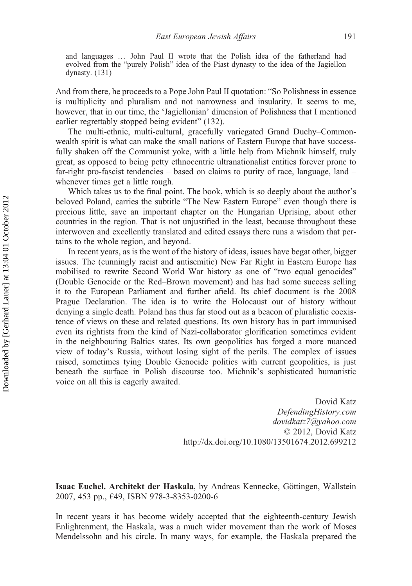and languages … John Paul II wrote that the Polish idea of the fatherland had evolved from the "purely Polish" idea of the Piast dynasty to the idea of the Jagiellon dynasty. (131)

And from there, he proceeds to a Pope John Paul II quotation: "So Polishness in essence is multiplicity and pluralism and not narrowness and insularity. It seems to me, however, that in our time, the 'Jagiellonian' dimension of Polishness that I mentioned earlier regrettably stopped being evident" (132).

The multi-ethnic, multi-cultural, gracefully variegated Grand Duchy–Commonwealth spirit is what can make the small nations of Eastern Europe that have successfully shaken off the Communist yoke, with a little help from Michnik himself, truly great, as opposed to being petty ethnocentric ultranationalist entities forever prone to far-right pro-fascist tendencies – based on claims to purity of race, language, land – whenever times get a little rough.

Which takes us to the final point. The book, which is so deeply about the author's beloved Poland, carries the subtitle "The New Eastern Europe" even though there is precious little, save an important chapter on the Hungarian Uprising, about other countries in the region. That is not unjustified in the least, because throughout these interwoven and excellently translated and edited essays there runs a wisdom that pertains to the whole region, and beyond.

In recent years, as is the wont of the history of ideas, issues have begat other, bigger issues. The (cunningly racist and antisemitic) New Far Right in Eastern Europe has mobilised to rewrite Second World War history as one of "two equal genocides" (Double Genocide or the Red–Brown movement) and has had some success selling it to the European Parliament and further afield. Its chief document is the 2008 Prague Declaration. The idea is to write the Holocaust out of history without denying a single death. Poland has thus far stood out as a beacon of pluralistic coexistence of views on these and related questions. Its own history has in part immunised even its rightists from the kind of Nazi-collaborator glorification sometimes evident in the neighbouring Baltics states. Its own geopolitics has forged a more nuanced view of today's Russia, without losing sight of the perils. The complex of issues raised, sometimes tying Double Genocide politics with current geopolitics, is just beneath the surface in Polish discourse too. Michnik's sophisticated humanistic voice on all this is eagerly awaited.

> Dovid Katz DefendingHistory.com dovidkatz7@yahoo.com © 2012, Dovid Katz http://dx.doi.org/10.1080/13501674.2012.699212

Isaac Euchel. Architekt der Haskala, by Andreas Kennecke, Göttingen, Wallstein 2007, 453 pp., €49, ISBN 978-3-8353-0200-6

In recent years it has become widely accepted that the eighteenth-century Jewish Enlightenment, the Haskala, was a much wider movement than the work of Moses Mendelssohn and his circle. In many ways, for example, the Haskala prepared the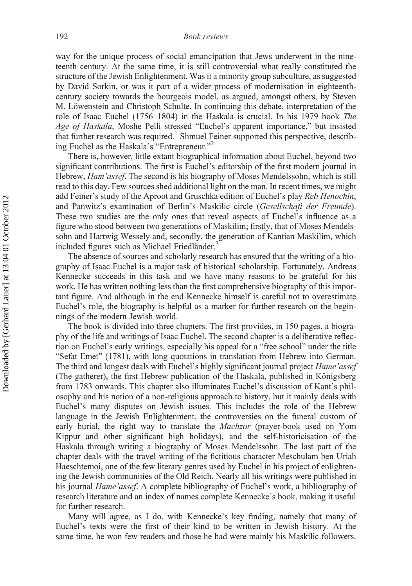way for the unique process of social emancipation that Jews underwent in the nineteenth century. At the same time, it is still controversial what really constituted the structure of the Jewish Enlightenment. Was it a minority group subculture, as suggested by David Sorkin, or was it part of a wider process of modernisation in eighteenthcentury society towards the bourgeois model, as argued, amongst others, by Steven M. Löwenstein and Christoph Schulte. In continuing this debate, interpretation of the role of Isaac Euchel (1756–1804) in the Haskala is crucial. In his 1979 book The Age of Haskala, Moshe Pelli stressed "Euchel's apparent importance," but insisted that further research was required.<sup>1</sup> Shmuel Feiner supported this perspective, describing Euchel as the Haskala's "Entrepreneur."<sup>2</sup>

There is, however, little extant biographical information about Euchel, beyond two significant contributions. The first is Euchel's editorship of the first modern journal in Hebrew, Ham'assef. The second is his biography of Moses Mendelssohn, which is still read to this day. Few sources shed additional light on the man. In recent times, we might add Feiner's study of the Aproot and Gruschka edition of Euchel's play Reb Henochin, and Panwitz's examination of Berlin's Maskilic circle (Gesellschaft der Freunde). These two studies are the only ones that reveal aspects of Euchel's influence as a figure who stood between two generations of Maskilim; firstly, that of Moses Mendelssohn and Hartwig Wessely and, secondly, the generation of Kantian Maskilim, which included figures such as Michael Friedländer.<sup>3</sup>

The absence of sources and scholarly research has ensured that the writing of a biography of Isaac Euchel is a major task of historical scholarship. Fortunately, Andreas Kennecke succeeds in this task and we have many reasons to be grateful for his work. He has written nothing less than the first comprehensive biography of this important figure. And although in the end Kennecke himself is careful not to overestimate Euchel's role, the biography is helpful as a marker for further research on the beginnings of the modern Jewish world.

The book is divided into three chapters. The first provides, in 150 pages, a biography of the life and writings of Isaac Euchel. The second chapter is a deliberative reflection on Euchel's early writings, especially his appeal for a "free school" under the title "Sefat Emet" (1781), with long quotations in translation from Hebrew into German. The third and longest deals with Euchel's highly significant journal project *Hame'assef* (The gatherer), the first Hebrew publication of the Haskala, published in Königsberg from 1783 onwards. This chapter also illuminates Euchel's discussion of Kant's philosophy and his notion of a non-religious approach to history, but it mainly deals with Euchel's many disputes on Jewish issues. This includes the role of the Hebrew language in the Jewish Enlightenment, the controversies on the funeral custom of early burial, the right way to translate the Machzor (prayer-book used on Yom Kippur and other significant high holidays), and the self-historicisation of the Haskala through writing a biography of Moses Mendelssohn. The last part of the chapter deals with the travel writing of the fictitious character Meschulam ben Uriah Haeschtemoi, one of the few literary genres used by Euchel in his project of enlightening the Jewish communities of the Old Reich. Nearly all his writings were published in his journal *Hame'assef*. A complete bibliography of Euchel's work, a bibliography of research literature and an index of names complete Kennecke's book, making it useful for further research.

Many will agree, as I do, with Kennecke's key finding, namely that many of Euchel's texts were the first of their kind to be written in Jewish history. At the same time, he won few readers and those he had were mainly his Maskilic followers.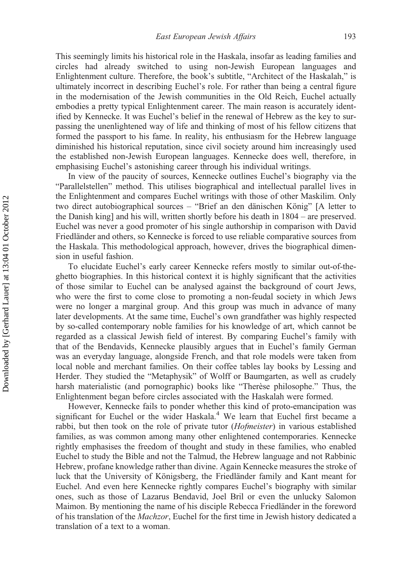This seemingly limits his historical role in the Haskala, insofar as leading families and circles had already switched to using non-Jewish European languages and Enlightenment culture. Therefore, the book's subtitle, "Architect of the Haskalah," is ultimately incorrect in describing Euchel's role. For rather than being a central figure in the modernisation of the Jewish communities in the Old Reich, Euchel actually embodies a pretty typical Enlightenment career. The main reason is accurately identified by Kennecke. It was Euchel's belief in the renewal of Hebrew as the key to surpassing the unenlightened way of life and thinking of most of his fellow citizens that formed the passport to his fame. In reality, his enthusiasm for the Hebrew language diminished his historical reputation, since civil society around him increasingly used the established non-Jewish European languages. Kennecke does well, therefore, in emphasising Euchel's astonishing career through his individual writings.

In view of the paucity of sources, Kennecke outlines Euchel's biography via the "Parallelstellen" method. This utilises biographical and intellectual parallel lives in the Enlightenment and compares Euchel writings with those of other Maskilim. Only two direct autobiographical sources – "Brief an den dänischen König" [A letter to the Danish king] and his will, written shortly before his death in 1804 – are preserved. Euchel was never a good promoter of his single authorship in comparison with David Friedländer and others, so Kennecke is forced to use reliable comparative sources from the Haskala. This methodological approach, however, drives the biographical dimension in useful fashion.

To elucidate Euchel's early career Kennecke refers mostly to similar out-of-theghetto biographies. In this historical context it is highly significant that the activities of those similar to Euchel can be analysed against the background of court Jews, who were the first to come close to promoting a non-feudal society in which Jews were no longer a marginal group. And this group was much in advance of many later developments. At the same time, Euchel's own grandfather was highly respected by so-called contemporary noble families for his knowledge of art, which cannot be regarded as a classical Jewish field of interest. By comparing Euchel's family with that of the Bendavids, Kennecke plausibly argues that in Euchel's family German was an everyday language, alongside French, and that role models were taken from local noble and merchant families. On their coffee tables lay books by Lessing and Herder. They studied the "Metaphysik" of Wolff or Baumgarten, as well as crudely harsh materialistic (and pornographic) books like "Therèse philosophe." Thus, the Enlightenment began before circles associated with the Haskalah were formed.

However, Kennecke fails to ponder whether this kind of proto-emancipation was significant for Euchel or the wider Haskala.<sup>4</sup> We learn that Euchel first became a rabbi, but then took on the role of private tutor (Hofmeister) in various established families, as was common among many other enlightened contemporaries. Kennecke rightly emphasises the freedom of thought and study in these families, who enabled Euchel to study the Bible and not the Talmud, the Hebrew language and not Rabbinic Hebrew, profane knowledge rather than divine. Again Kennecke measures the stroke of luck that the University of Königsberg, the Friedländer family and Kant meant for Euchel. And even here Kennecke rightly compares Euchel's biography with similar ones, such as those of Lazarus Bendavid, Joel Bril or even the unlucky Salomon Maimon. By mentioning the name of his disciple Rebecca Friedländer in the foreword of his translation of the Machzor, Euchel for the first time in Jewish history dedicated a translation of a text to a woman.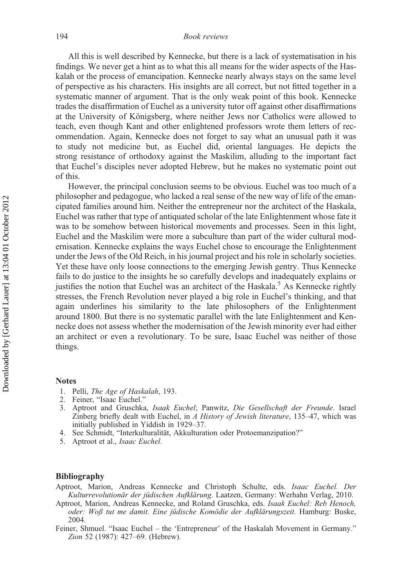All this is well described by Kennecke, but there is a lack of systematisation in his findings. We never get a hint as to what this all means for the wider aspects of the Haskalah or the process of emancipation. Kennecke nearly always stays on the same level of perspective as his characters. His insights are all correct, but not fitted together in a systematic manner of argument. That is the only weak point of this book. Kennecke trades the disaffirmation of Euchel as a university tutor off against other disaffirmations at the University of Königsberg, where neither Jews nor Catholics were allowed to teach, even though Kant and other enlightened professors wrote them letters of recommendation. Again, Kennecke does not forget to say what an unusual path it was to study not medicine but, as Euchel did, oriental languages. He depicts the strong resistance of orthodoxy against the Maskilim, alluding to the important fact that Euchel's disciples never adopted Hebrew, but he makes no systematic point out of this.

However, the principal conclusion seems to be obvious. Euchel was too much of a philosopher and pedagogue, who lacked a real sense of the new way of life of the emancipated families around him. Neither the entrepreneur nor the architect of the Haskala, Euchel was rather that type of antiquated scholar of the late Enlightenment whose fate it was to be somehow between historical movements and processes. Seen in this light, Euchel and the Maskilim were more a subculture than part of the wider cultural modernisation. Kennecke explains the ways Euchel chose to encourage the Enlightenment under the Jews of the Old Reich, in his journal project and his role in scholarly societies. Yet these have only loose connections to the emerging Jewish gentry. Thus Kennecke fails to do justice to the insights he so carefully develops and inadequately explains or justifies the notion that Euchel was an architect of the Haskala.<sup>5</sup> As Kennecke rightly stresses, the French Revolution never played a big role in Euchel's thinking, and that again underlines his similarity to the late philosophers of the Enlightenment around 1800. But there is no systematic parallel with the late Enlightenment and Kennecke does not assess whether the modernisation of the Jewish minority ever had either an architect or even a revolutionary. To be sure, Isaac Euchel was neither of those things.

#### Notes

- 1. Pelli, The Age of Haskalah, 193.
- 2. Feiner, "Isaac Euchel."
- 3. Aptroot and Gruschka, Isaak Euchel; Panwitz, Die Gesellschaft der Freunde. Israel Zinberg briefly dealt with Euchel, in A History of Jewish literature, 135–47, which was initially published in Yiddish in 1929–37.
- 4. See Schmidt, "Interkulturalität, Akkulturation oder Protoemanzipation?"
- 5. Aptroot et al., Isaac Euchel.

### Bibliography

- Aptroot, Marion, Andreas Kennecke and Christoph Schulte, eds. Isaac Euchel. Der Kulturrevolutionär der jüdischen Aufklärung. Laatzen, Germany: Werhahn Verlag, 2010.
- Aptroot, Marion, Andreas Kennecke, and Roland Gruschka, eds. Isaak Euchel: Reb Henoch, oder: Woß tut me damit. Eine jüdische Komödie der Aufklärungszeit. Hamburg: Buske, 2004.
- Feiner, Shmuel. "Isaac Euchel the 'Entrepreneur' of the Haskalah Movement in Germany." Zion 52 (1987): 427–69. (Hebrew).